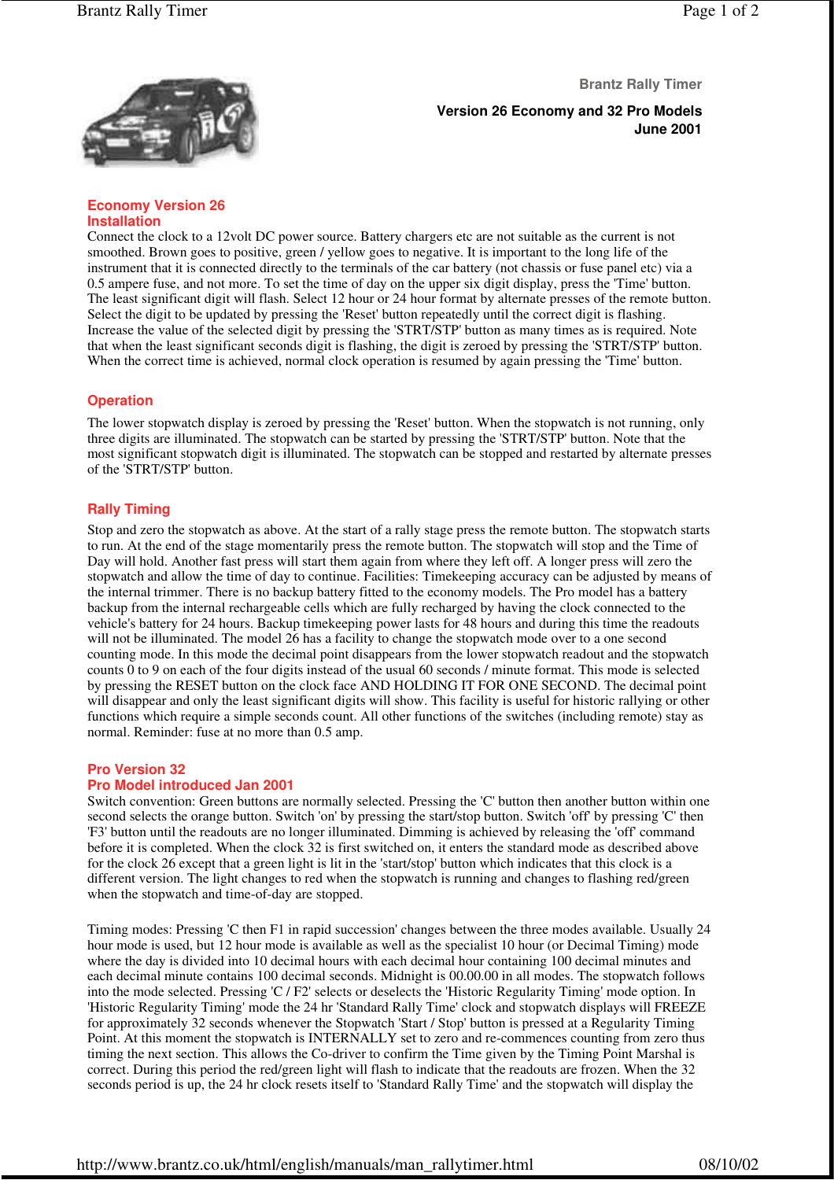

**Brantz Rally Timer**

**Version 26 Economy and 32 Pro Models June 2001**

#### **Economy Version 26 Installation**

Connect the clock to a 12volt DC power source. Battery chargers etc are not suitable as the current is not smoothed. Brown goes to positive, green / yellow goes to negative. It is important to the long life of the instrument that it is connected directly to the terminals of the car battery (not chassis or fuse panel etc) via a 0.5 ampere fuse, and not more. To set the time of day on the upper six digit display, press the 'Time' button. The least significant digit will flash. Select 12 hour or 24 hour format by alternate presses of the remote button. Select the digit to be updated by pressing the 'Reset' button repeatedly until the correct digit is flashing. Increase the value of the selected digit by pressing the 'STRT/STP' button as many times as is required. Note that when the least significant seconds digit is flashing, the digit is zeroed by pressing the 'STRT/STP' button. When the correct time is achieved, normal clock operation is resumed by again pressing the 'Time' button.

# **Operation**

The lower stopwatch display is zeroed by pressing the 'Reset' button. When the stopwatch is not running, only three digits are illuminated. The stopwatch can be started by pressing the 'STRT/STP' button. Note that the most significant stopwatch digit is illuminated. The stopwatch can be stopped and restarted by alternate presses of the 'STRT/STP' button.

# **Rally Timing**

Stop and zero the stopwatch as above. At the start of a rally stage press the remote button. The stopwatch starts to run. At the end of the stage momentarily press the remote button. The stopwatch will stop and the Time of Day will hold. Another fast press will start them again from where they left off. A longer press will zero the stopwatch and allow the time of day to continue. Facilities: Timekeeping accuracy can be adjusted by means of the internal trimmer. There is no backup battery fitted to the economy models. The Pro model has a battery backup from the internal rechargeable cells which are fully recharged by having the clock connected to the vehicle's battery for 24 hours. Backup timekeeping power lasts for 48 hours and during this time the readouts will not be illuminated. The model 26 has a facility to change the stopwatch mode over to a one second counting mode. In this mode the decimal point disappears from the lower stopwatch readout and the stopwatch counts  $\overline{0}$  to 9 on each of the four digits instead of the usual 60 seconds / minute format. This mode is selected by pressing the RESET button on the clock face AND HOLDING IT FOR ONE SECOND. The decimal point will disappear and only the least significant digits will show. This facility is useful for historic rallying or other functions which require a simple seconds count. All other functions of the switches (including remote) stay as normal. Reminder: fuse at no more than 0.5 amp.

# **Pro Version 32**

### **Pro Model introduced Jan 2001**

Switch convention: Green buttons are normally selected. Pressing the 'C' button then another button within one second selects the orange button. Switch 'on' by pressing the start/stop button. Switch 'off' by pressing 'C' then 'F3' button until the readouts are no longer illuminated. Dimming is achieved by releasing the 'off' command before it is completed. When the clock 32 is first switched on, it enters the standard mode as described above for the clock 26 except that a green light is lit in the 'start/stop' button which indicates that this clock is a different version. The light changes to red when the stopwatch is running and changes to flashing red/green when the stopwatch and time-of-day are stopped.

Timing modes: Pressing 'C then F1 in rapid succession' changes between the three modes available. Usually 24 hour mode is used, but 12 hour mode is available as well as the specialist 10 hour (or Decimal Timing) mode where the day is divided into 10 decimal hours with each decimal hour containing 100 decimal minutes and each decimal minute contains 100 decimal seconds. Midnight is 00.00.00 in all modes. The stopwatch follows into the mode selected. Pressing 'C / F2' selects or deselects the 'Historic Regularity Timing' mode option. In 'Historic Regularity Timing' mode the 24 hr 'Standard Rally Time' clock and stopwatch displays will FREEZE for approximately 32 seconds whenever the Stopwatch 'Start / Stop' button is pressed at a Regularity Timing Point. At this moment the stopwatch is INTERNALLY set to zero and re-commences counting from zero thus timing the next section. This allows the Co-driver to confirm the Time given by the Timing Point Marshal is correct. During this period the red/green light will flash to indicate that the readouts are frozen. When the 32 seconds period is up, the 24 hr clock resets itself to 'Standard Rally Time' and the stopwatch will display the